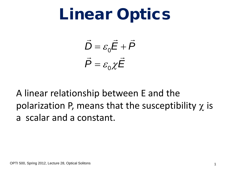$$
\vec{D} = \varepsilon_0 \vec{E} + \vec{P}
$$

$$
\vec{P} = \varepsilon_0 \chi \vec{E}
$$

A linear relationship between E and the polarization P, means that the susceptibility  $\chi$  is a scalar and a constant.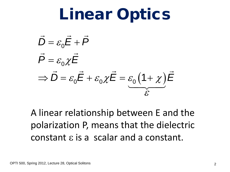$$
\vec{D} = \varepsilon_0 \vec{E} + \vec{P}
$$
\n
$$
\vec{P} = \varepsilon_0 \chi \vec{E}
$$
\n
$$
\Rightarrow \vec{D} = \varepsilon_0 \vec{E} + \varepsilon_0 \chi \vec{E} = \varepsilon_0 (1 + \chi) \vec{E}
$$

A linear relationship between E and the polarization P, means that the dielectric constant ε is a scalar and a constant.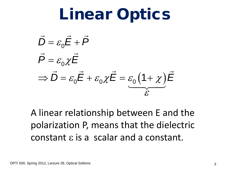$$
\vec{D} = \varepsilon_0 \vec{E} + \vec{P}
$$
\n
$$
\vec{P} = \varepsilon_0 \chi \vec{E}
$$
\n
$$
\Rightarrow \vec{D} = \varepsilon_0 \vec{E} + \varepsilon_0 \chi \vec{E} = \varepsilon_0 (1 + \chi) \vec{E}
$$

A linear relationship between E and the polarization P, means that the dielectric constant ε is a scalar and a constant.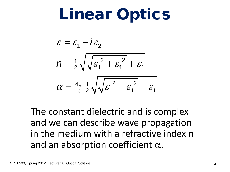$$
\varepsilon = \varepsilon_1 - i\varepsilon_2
$$
  

$$
n = \frac{1}{2}\sqrt{\sqrt{\varepsilon_1^2 + \varepsilon_1^2} + \varepsilon_1}
$$
  

$$
\alpha = \frac{4\pi}{\lambda} \frac{1}{2} \sqrt{\sqrt{\varepsilon_1^2 + \varepsilon_1^2} - \varepsilon_1}
$$

The constant dielectric and is complex and we can describe wave propagation in the medium with a refractive index n and an absorption coefficient  $\alpha$ .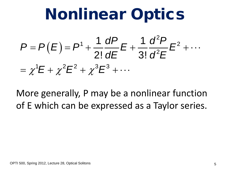# Nonlinear Optics

#### $(E)$ 2 1 |  $\begin{array}{ccc} 1 & \cdots & \cdots \end{array}$  |  $\begin{array}{ccc} 1 & \cdots & \cdots \end{array}$  |  $\begin{array}{ccc} 2 & \cdots & \cdots \end{array}$ 2  $=\chi^1E+\chi^2E^2+\chi^3E^3+\cdots$ 1 dP  $_{\sim}$  1  $2! dE$  3!  $P = P(E) = P^{1} + \frac{1}{2!} \frac{dP}{dP} E + \frac{1}{2!} \frac{d^{2}P}{d^{2}P} E$ *dE* 3! *d*<sup>2</sup>*E*  $= P(E) = P^{1} + \frac{V}{2!}E + \frac{V}{2!}E^{2} + \cdots$

More generally, P may be a nonlinear function of E which can be expressed as a Taylor series.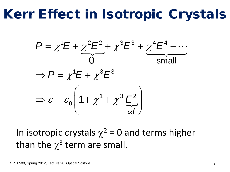# Kerr Effect in Isotropic Crystals

$$
P = \chi^1 E + \chi^2 E^2 + \chi^3 E^3 + \chi^4 E^4 + \cdots
$$
  
\n
$$
\Rightarrow P = \chi^1 E + \chi^3 E^3
$$
  
\n
$$
\Rightarrow \varepsilon = \varepsilon_0 \left( 1 + \chi^1 + \chi^3 \frac{E^2}{\alpha I} \right)
$$

In isotropic crystals  $\chi^2$  = 0 and terms higher than the  $\chi^3$  term are small.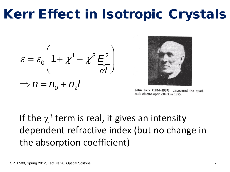# Kerr Effect in Isotropic Crystals

$$
\varepsilon = \varepsilon_0 \left( 1 + \chi^1 + \chi^3 \, \frac{E^2}{\alpha I} \right)
$$

$$
\Rightarrow n = n_0 + n_2 I
$$



John Kerr (1824-1907) discovered the quadratic electro-optic effect in 1875.

If the  $\chi^3$  term is real, it gives an intensity dependent refractive index (but no change in the absorption coefficient)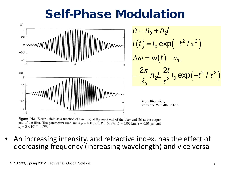### Self-Phase Modulation



Figure 14.1 Electric field as a function of time: (a) at the input end of the fiber and (b) at the output end of the fiber. The parameters used are  $A_{\text{eff}} = 100 \mu \text{m}^2$ ,  $P = 5 \text{ mW}$ ,  $L = 2500 \text{ km}$ ,  $\tau = 0.05 \text{ ps}$ , and  $n_2 = 3 \times 10^{-20}$  m<sup>2</sup>/W.

• An increasing intensity, and refractive index, has the effect of decreasing frequency (increasing wavelength) and vice versa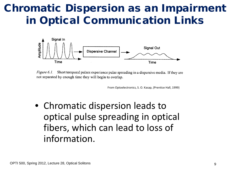#### Chromatic Dispersion as an Impairment in Optical Communication Links



Figure 6.1. Short temporal pulses experience pulse spreading in a dispersive media. If they are not separated by enough time they will begin to overlap.

From Optoelectronics, S. O. Kasap, (Prentice Hall, 1999)

• Chromatic dispersion leads to optical pulse spreading in optical fibers, which can lead to loss of information.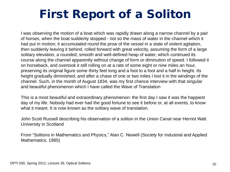### First Report of a Soliton

I was observing the motion of a boat which was rapidly drawn along a narrow channel by a pair of horses, when the boat suddenly stopped - not so the mass of water in the channel which it had put in motion; it accumulated round the prow of the vessel in a state of violent agitation, then suddenly leaving it behind, rolled forward with great velocity, assuming the form of a large solitary elevation, a rounded, smooth and well-defined heap of water, which continued its course along the channel apparently without change of form or diminution of speed. I followed it on horseback, and overtook it still rolling on at a rate of some eight or nine miles an hour, preserving its original figure some thirty feet long and a foot to a foot and a half in height. Its height gradually diminished, and after a chase of one or two miles I lost it in the windings of the channel. Such, in the month of August 1834, was my first chance interview with that singular and beautiful phenomenon which I have called the Wave of Translation

This is a most beautiful and extraordinary phenomenon: the first day I saw it was the happiest day of my life. Nobody had ever had the good fortune to see it before or, at all events, to know what it meant. It is now known as the solitary wave of translation.

John Scott Russell describing his observation of a soliton in the Union Canal near Herriot Watt University in Scotland

From "Solitons in Mathematics and Physics," Alan C. Newell (Society for Industrial and Applied Mathematics, 1985)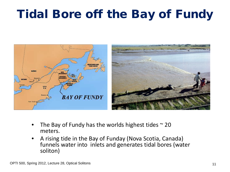### Tidal Bore off the Bay of Fundy



- The Bay of Fundy has the worlds highest tides  $\sim$  20 meters.
- A rising tide in the Bay of Funday (Nova Scotia, Canada) funnels water into inlets and generates tidal bores (water soliton)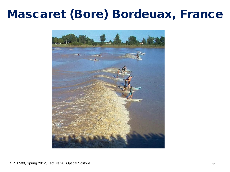#### Mascaret (Bore) Bordeuax, France

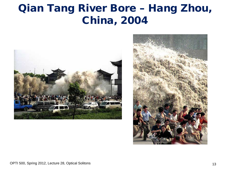#### Qian Tang River Bore – Hang Zhou, China, 2004



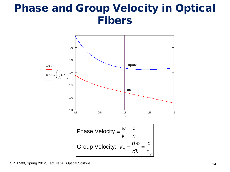#### Phase and Group Velocity in Optical Fibers

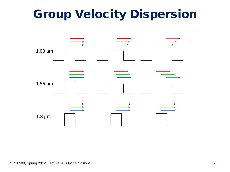### Group Velocity Dispersion